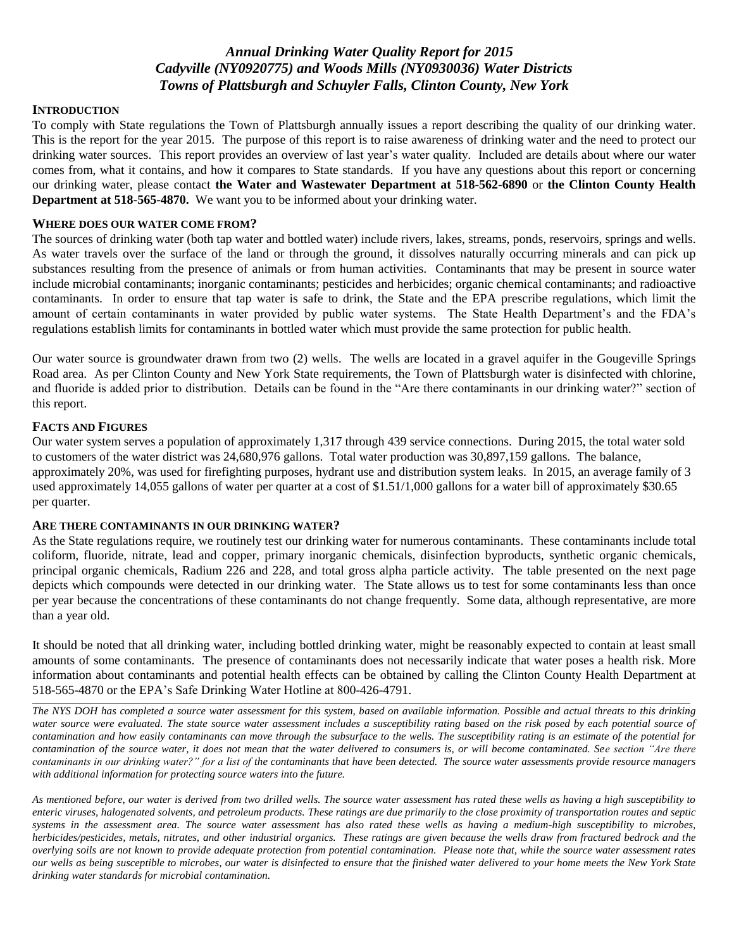# *Annual Drinking Water Quality Report for 2015 Cadyville (NY0920775) and Woods Mills (NY0930036) Water Districts Towns of Plattsburgh and Schuyler Falls, Clinton County, New York*

#### **INTRODUCTION**

To comply with State regulations the Town of Plattsburgh annually issues a report describing the quality of our drinking water. This is the report for the year 2015. The purpose of this report is to raise awareness of drinking water and the need to protect our drinking water sources. This report provides an overview of last year's water quality. Included are details about where our water comes from, what it contains, and how it compares to State standards. If you have any questions about this report or concerning our drinking water, please contact **the Water and Wastewater Department at 518-562-6890** or **the Clinton County Health Department at 518-565-4870.** We want you to be informed about your drinking water.

## **WHERE DOES OUR WATER COME FROM?**

The sources of drinking water (both tap water and bottled water) include rivers, lakes, streams, ponds, reservoirs, springs and wells. As water travels over the surface of the land or through the ground, it dissolves naturally occurring minerals and can pick up substances resulting from the presence of animals or from human activities. Contaminants that may be present in source water include microbial contaminants; inorganic contaminants; pesticides and herbicides; organic chemical contaminants; and radioactive contaminants. In order to ensure that tap water is safe to drink, the State and the EPA prescribe regulations, which limit the amount of certain contaminants in water provided by public water systems. The State Health Department's and the FDA's regulations establish limits for contaminants in bottled water which must provide the same protection for public health.

Our water source is groundwater drawn from two (2) wells. The wells are located in a gravel aquifer in the Gougeville Springs Road area. As per Clinton County and New York State requirements, the Town of Plattsburgh water is disinfected with chlorine, and fluoride is added prior to distribution. Details can be found in the "Are there contaminants in our drinking water?" section of this report.

### **FACTS AND FIGURES**

Our water system serves a population of approximately 1,317 through 439 service connections. During 2015, the total water sold to customers of the water district was 24,680,976 gallons. Total water production was 30,897,159 gallons. The balance, approximately 20%, was used for firefighting purposes, hydrant use and distribution system leaks. In 2015, an average family of 3 used approximately 14,055 gallons of water per quarter at a cost of \$1.51/1,000 gallons for a water bill of approximately \$30.65 per quarter.

### **ARE THERE CONTAMINANTS IN OUR DRINKING WATER?**

As the State regulations require, we routinely test our drinking water for numerous contaminants. These contaminants include total coliform, fluoride, nitrate, lead and copper, primary inorganic chemicals, disinfection byproducts, synthetic organic chemicals, principal organic chemicals, Radium 226 and 228, and total gross alpha particle activity. The table presented on the next page depicts which compounds were detected in our drinking water. The State allows us to test for some contaminants less than once per year because the concentrations of these contaminants do not change frequently. Some data, although representative, are more than a year old.

It should be noted that all drinking water, including bottled drinking water, might be reasonably expected to contain at least small amounts of some contaminants. The presence of contaminants does not necessarily indicate that water poses a health risk. More information about contaminants and potential health effects can be obtained by calling the Clinton County Health Department at 518-565-4870 or the EPA's Safe Drinking Water Hotline at 800-426-4791.

*The NYS DOH has completed a source water assessment for this system, based on available information. Possible and actual threats to this drinking water source were evaluated. The state source water assessment includes a susceptibility rating based on the risk posed by each potential source of contamination and how easily contaminants can move through the subsurface to the wells. The susceptibility rating is an estimate of the potential for contamination of the source water, it does not mean that the water delivered to consumers is, or will become contaminated. See section "Are there contaminants in our drinking water?" for a list of the contaminants that have been detected. The source water assessments provide resource managers with additional information for protecting source waters into the future.* 

*As mentioned before, our water is derived from two drilled wells. The source water assessment has rated these wells as having a high susceptibility to enteric viruses, halogenated solvents, and petroleum products. These ratings are due primarily to the close proximity of transportation routes and septic systems in the assessment area. The source water assessment has also rated these wells as having a medium-high susceptibility to microbes, herbicides/pesticides, metals, nitrates, and other industrial organics. These ratings are given because the wells draw from fractured bedrock and the overlying soils are not known to provide adequate protection from potential contamination. Please note that, while the source water assessment rates our wells as being susceptible to microbes, our water is disinfected to ensure that the finished water delivered to your home meets the New York State drinking water standards for microbial contamination.*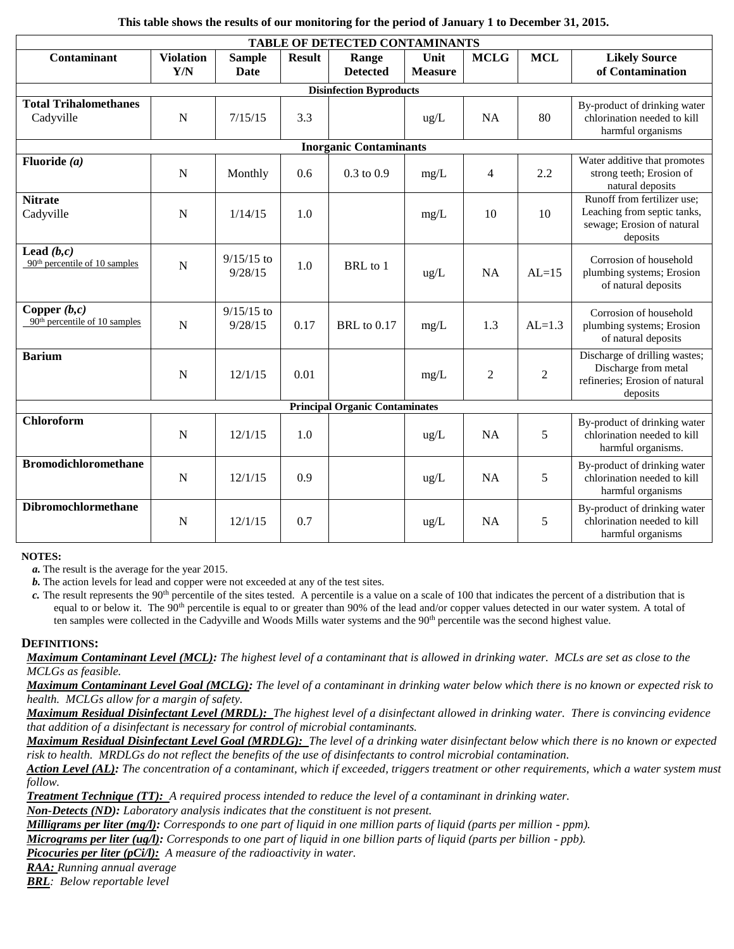| This table shows the results of our monitoring for the period of January 1 to December 31, 2015. |  |  |
|--------------------------------------------------------------------------------------------------|--|--|
|--------------------------------------------------------------------------------------------------|--|--|

| <b>TABLE OF DETECTED CONTAMINANTS</b>             |                         |                         |               |                          |                        |                |                |                                                                                                      |  |  |
|---------------------------------------------------|-------------------------|-------------------------|---------------|--------------------------|------------------------|----------------|----------------|------------------------------------------------------------------------------------------------------|--|--|
| Contaminant                                       | <b>Violation</b><br>Y/N | <b>Sample</b><br>Date   | <b>Result</b> | Range<br><b>Detected</b> | Unit<br><b>Measure</b> | <b>MCLG</b>    | <b>MCL</b>     | <b>Likely Source</b><br>of Contamination                                                             |  |  |
| <b>Disinfection Byproducts</b>                    |                         |                         |               |                          |                        |                |                |                                                                                                      |  |  |
| <b>Total Trihalomethanes</b><br>Cadyville         | $\mathbf N$             | 7/15/15                 | 3.3           |                          | $\text{ug/L}$          | <b>NA</b>      | 80             | By-product of drinking water<br>chlorination needed to kill<br>harmful organisms                     |  |  |
| <b>Inorganic Contaminants</b>                     |                         |                         |               |                          |                        |                |                |                                                                                                      |  |  |
| Fluoride $(a)$                                    | $\mathbf N$             | Monthly                 | 0.6           | $0.3 \text{ to } 0.9$    | mg/L                   | $\overline{4}$ | 2.2            | Water additive that promotes<br>strong teeth; Erosion of<br>natural deposits                         |  |  |
| <b>Nitrate</b><br>Cadyville                       | $\mathbf N$             | 1/14/15                 | 1.0           |                          | mg/L                   | 10             | 10             | Runoff from fertilizer use;<br>Leaching from septic tanks,<br>sewage; Erosion of natural<br>deposits |  |  |
| Lead $(b,c)$<br>$90th$ percentile of 10 samples   | $\mathbf N$             | $9/15/15$ to<br>9/28/15 | 1.0           | BRL to 1                 | $\text{ug/L}$          | <b>NA</b>      | $AL=15$        | Corrosion of household<br>plumbing systems; Erosion<br>of natural deposits                           |  |  |
| Copper $(b,c)$<br>$90th$ percentile of 10 samples | N                       | $9/15/15$ to<br>9/28/15 | 0.17          | <b>BRL</b> to 0.17       | mg/L                   | 1.3            | $AL=1.3$       | Corrosion of household<br>plumbing systems; Erosion<br>of natural deposits                           |  |  |
| <b>Barium</b>                                     | $\mathbf N$             | 12/1/15                 | 0.01          |                          | mg/L                   | $\overline{2}$ | $\overline{2}$ | Discharge of drilling wastes;<br>Discharge from metal<br>refineries; Erosion of natural<br>deposits  |  |  |
| <b>Principal Organic Contaminates</b>             |                         |                         |               |                          |                        |                |                |                                                                                                      |  |  |
| Chloroform                                        | N                       | 12/1/15                 | 1.0           |                          | $\text{ug/L}$          | <b>NA</b>      | 5              | By-product of drinking water<br>chlorination needed to kill<br>harmful organisms.                    |  |  |
| <b>Bromodichloromethane</b>                       | $\mathbf N$             | 12/1/15                 | 0.9           |                          | ug/L                   | <b>NA</b>      | 5              | By-product of drinking water<br>chlorination needed to kill<br>harmful organisms                     |  |  |
| Dibromochlormethane                               | $\mathbf N$             | 12/1/15                 | 0.7           |                          | $\text{ug/L}$          | <b>NA</b>      | 5              | By-product of drinking water<br>chlorination needed to kill<br>harmful organisms                     |  |  |

**NOTES:**

*a.* The result is the average for the year 2015.

*b.* The action levels for lead and copper were not exceeded at any of the test sites.

*c.* The result represents the 90th percentile of the sites tested. A percentile is a value on a scale of 100 that indicates the percent of a distribution that is equal to or below it. The 90<sup>th</sup> percentile is equal to or greater than 90% of the lead and/or copper values detected in our water system. A total of ten samples were collected in the Cadyville and Woods Mills water systems and the 90<sup>th</sup> percentile was the second highest value.

## **DEFINITIONS:**

*Maximum Contaminant Level (MCL): The highest level of a contaminant that is allowed in drinking water. MCLs are set as close to the MCLGs as feasible.* 

*Maximum Contaminant Level Goal (MCLG): The level of a contaminant in drinking water below which there is no known or expected risk to health. MCLGs allow for a margin of safety.*

*Maximum Residual Disinfectant Level (MRDL): The highest level of a disinfectant allowed in drinking water. There is convincing evidence that addition of a disinfectant is necessary for control of microbial contaminants.*

*Maximum Residual Disinfectant Level Goal (MRDLG): The level of a drinking water disinfectant below which there is no known or expected risk to health. MRDLGs do not reflect the benefits of the use of disinfectants to control microbial contamination.*

*Action Level (AL): The concentration of a contaminant, which if exceeded, triggers treatment or other requirements, which a water system must follow.*

*Treatment Technique (TT): A required process intended to reduce the level of a contaminant in drinking water.*

*Non-Detects (ND): Laboratory analysis indicates that the constituent is not present.*

*Milligrams per liter (mg/l): Corresponds to one part of liquid in one million parts of liquid (parts per million - ppm).* 

*Micrograms per liter (ug/l): Corresponds to one part of liquid in one billion parts of liquid (parts per billion - ppb).*

*Picocuries per liter (pCi/l): A measure of the radioactivity in water.*

*RAA: Running annual average*

*BRL: Below reportable level*